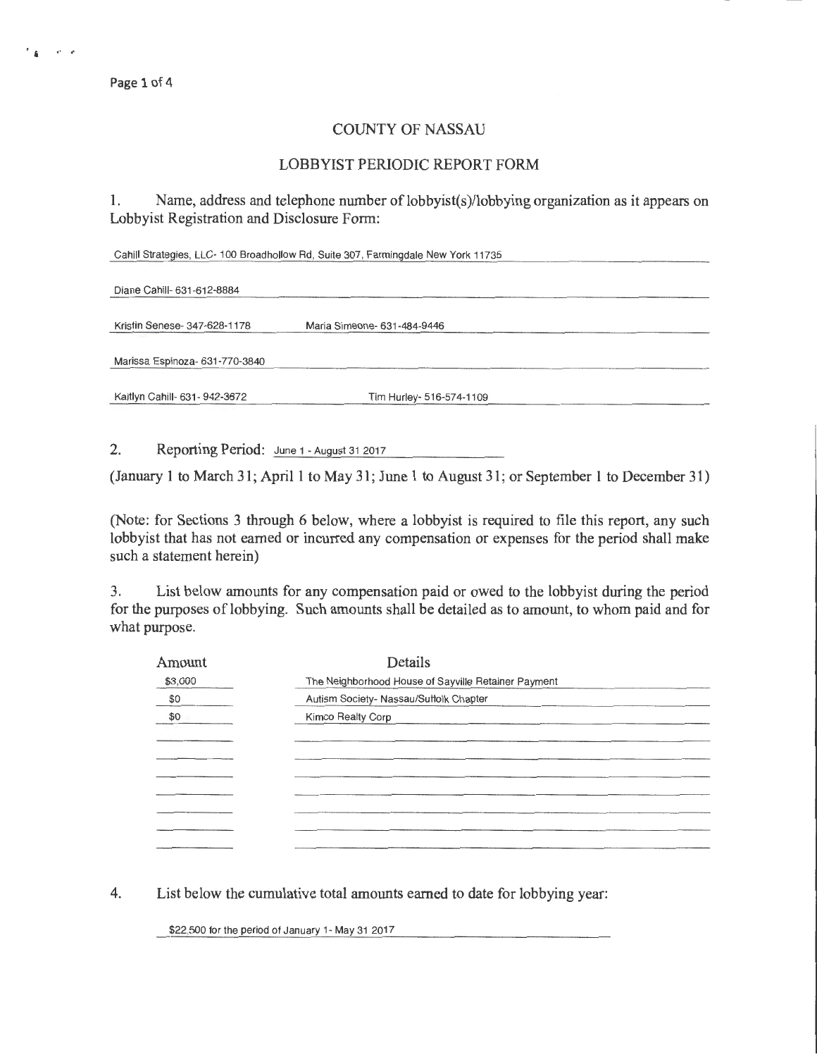Page 1 of 4

## COUNTY OF NASSAU

## LOBBYIST PERIODIC REPORT FORM

1. Name, address and telephone number of lobbyist(s)/lobbying organization as it appears on Lobbyist Registration and Disclosure Form:

Cahill Strategies, LLC- 100 Broadhollow Ad, Suite 307, Farmingdale New York 11735

| Diane Cahill- 631-612-8884     |                             |  |
|--------------------------------|-----------------------------|--|
| Kristin Senese- 347-628-1178   | Maria Simeone- 631-484-9446 |  |
| Marissa Espinoza- 631-770-3840 |                             |  |
| Kaitlyn Cahill- 631- 942-3672  | Tim Hurley- 516-574-1109    |  |

2. Reporting Period: June 1 - August 31 2017

(January 1 to March 31; April1 to May 31; June 1 to August 31; or September 1 to December 31)

(Note: for Sections 3 through 6 below, where a lobbyist is required to file this report, any such lobbyist that has not earned or incurred any compensation or expenses for the period shall make such a statement herein)

3. List below amounts for any compensation paid or owed to the lobbyist during the period for the purposes of lobbying. Such amounts shall be detailed as to amount, to whom paid and for what purpose.

| Amount  | Details                                             |  |
|---------|-----------------------------------------------------|--|
| \$3,000 | The Neighborhood House of Sayville Retainer Payment |  |
| \$0     | Autism Society- Nassau/Suffolk Chapter              |  |
| \$0     | Kimco Realty Corp                                   |  |
|         |                                                     |  |
|         |                                                     |  |
|         |                                                     |  |
|         |                                                     |  |
|         |                                                     |  |
|         |                                                     |  |
|         |                                                     |  |
|         |                                                     |  |

4. List below the cumulative total amounts earned to date for lobbying year:

\$22,500 for the period of January 1- May 31 2017

 $\mathbf{r}_4 = \mathbf{r}_4 \mathbf{r}_4$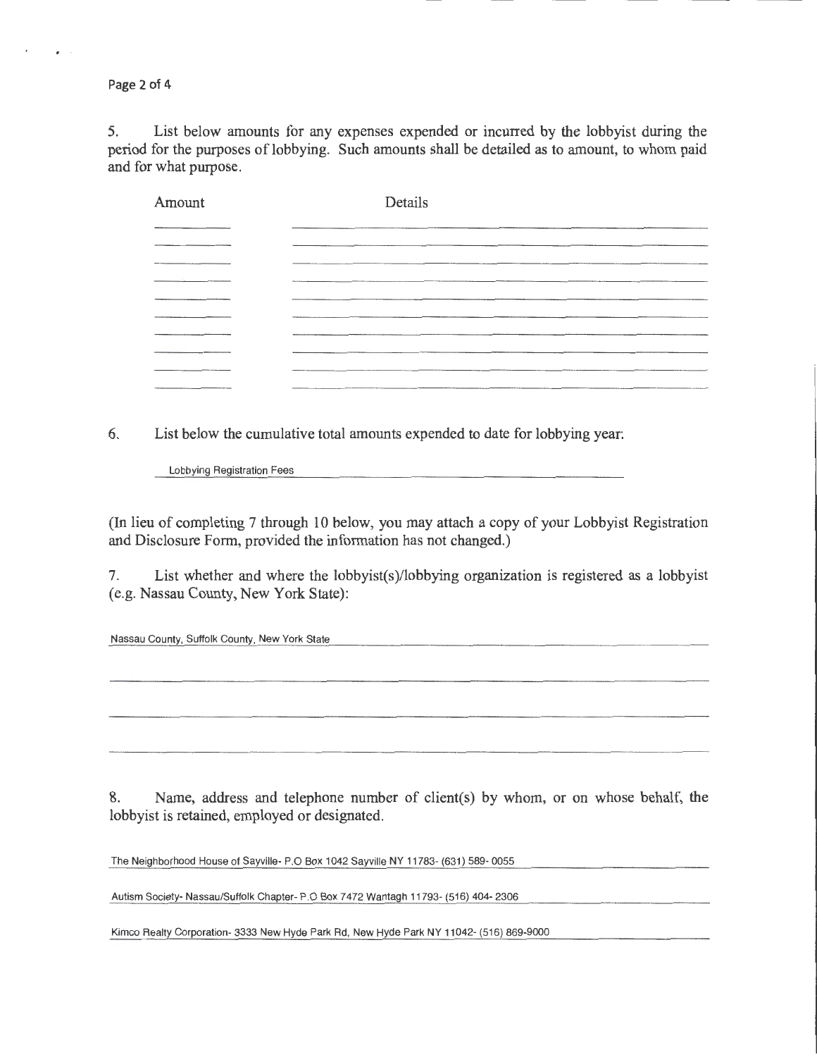Page 2 of 4

 $\overline{a}$ 

5. List below amounts for any expenses expended or incurred by the lobbyist during the period for the purposes of lobbying. Such amounts shall be detailed as to amount, to whom paid and for what purpose.

| Amount | Details     |
|--------|-------------|
|        |             |
|        |             |
|        |             |
|        |             |
|        |             |
|        |             |
|        |             |
|        |             |
|        | ----------- |

6. List below the cumulative total amounts expended to date for lobbying year:

Lobbying Registration Fees

(In lieu of completing 7 through 10 below, you may attach a copy of your Lobbyist Registration and Disclosure Form, provided the information has not changed.)

7. List whether and where the lobbyist(s)/lobbying organization is registered as a lobbyist (e.g. Nassau County, New York State):

Nassau County, Suffolk County, New York State

8. Name, address and telephone number of client(s) by whom, or on whose behalf, the lobbyist is retained, employed or designated.

The Neighborhood House of Sayville- P.O Box 1042 Sayville NY 11783- (631) 589- 0055

Autism Society- Nassau/Suffolk Chapter- P.O Box 7472 Wantagh 11793- (516) 404- 2306

Kimco Realty Corporation- 3333 New Hyde Park Rd, New Hyde Park NY 11042- (516) 869-9000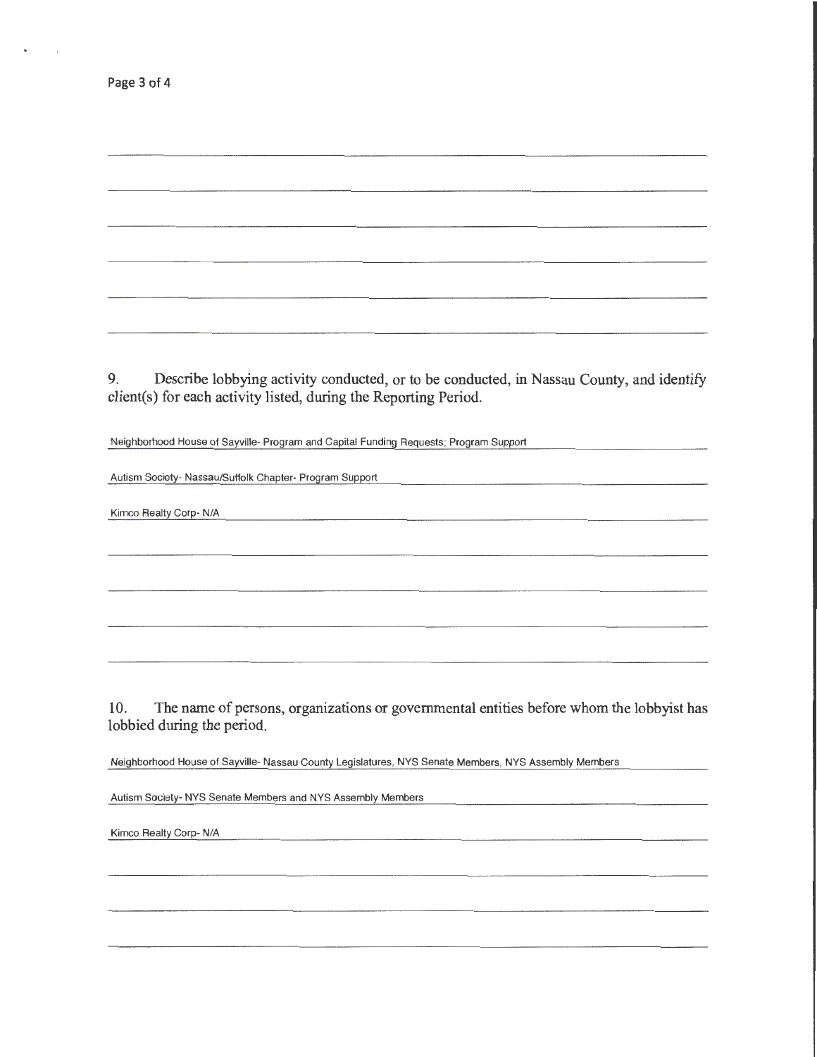Page 3 of 4

 $\overline{1}$ 

9. Describe lobbying activity conducted, or to be conducted, in Nassau County, and identify client(s) for each activity listed, during the Reporting Period.

Neighborhood House of Sayville- Program and Capital Funding Requests; Program Support

Autism Society- Nassau/Suffolk Chapter- Program Support

Kimco Realty Corp- N/A

10. The name of persons, organizations or governmental entities before whom the lobbyist has lobbied during the period.

Neighborhood House of Sayville- Nassau County Legislatures, NYS Senate Members, NYS Assembly Members

Autism Society- NYS Senate Members and NYS Assembly Members

Kimco Realty Corp- N/A